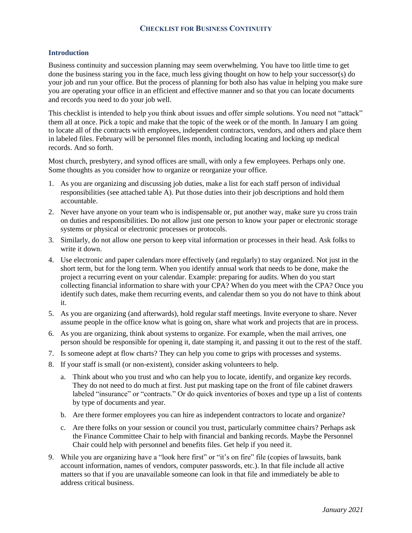### **CHECKLIST FOR BUSINESS CONTINUITY**

#### **Introduction**

Business continuity and succession planning may seem overwhelming. You have too little time to get done the business staring you in the face, much less giving thought on how to help your successor(s) do your job and run your office. But the process of planning for both also has value in helping you make sure you are operating your office in an efficient and effective manner and so that you can locate documents and records you need to do your job well.

This checklist is intended to help you think about issues and offer simple solutions. You need not "attack" them all at once. Pick a topic and make that the topic of the week or of the month. In January I am going to locate all of the contracts with employees, independent contractors, vendors, and others and place them in labeled files. February will be personnel files month, including locating and locking up medical records. And so forth.

Most church, presbytery, and synod offices are small, with only a few employees. Perhaps only one. Some thoughts as you consider how to organize or reorganize your office.

- 1. As you are organizing and discussing job duties, make a list for each staff person of individual responsibilities (see attached table A). Put those duties into their job descriptions and hold them accountable.
- 2. Never have anyone on your team who is indispensable or, put another way, make sure yu cross train on duties and responsibilities. Do not allow just one person to know your paper or electronic storage systems or physical or electronic processes or protocols.
- 3. Similarly, do not allow one person to keep vital information or processes in their head. Ask folks to write it down.
- 4. Use electronic and paper calendars more effectively (and regularly) to stay organized. Not just in the short term, but for the long term. When you identify annual work that needs to be done, make the project a recurring event on your calendar. Example: preparing for audits. When do you start collecting financial information to share with your CPA? When do you meet with the CPA? Once you identify such dates, make them recurring events, and calendar them so you do not have to think about it.
- 5. As you are organizing (and afterwards), hold regular staff meetings. Invite everyone to share. Never assume people in the office know what is going on, share what work and projects that are in process.
- 6. As you are organizing, think about systems to organize. For example, when the mail arrives, one person should be responsible for opening it, date stamping it, and passing it out to the rest of the staff.
- 7. Is someone adept at flow charts? They can help you come to grips with processes and systems.
- 8. If your staff is small (or non-existent), consider asking volunteers to help.
	- a. Think about who you trust and who can help you to locate, identify, and organize key records. They do not need to do much at first. Just put masking tape on the front of file cabinet drawers labeled "insurance" or "contracts." Or do quick inventories of boxes and type up a list of contents by type of documents and year.
	- b. Are there former employees you can hire as independent contractors to locate and organize?
	- c. Are there folks on your session or council you trust, particularly committee chairs? Perhaps ask the Finance Committee Chair to help with financial and banking records. Maybe the Personnel Chair could help with personnel and benefits files. Get help if you need it.
- 9. While you are organizing have a "look here first" or "it's on fire" file (copies of lawsuits, bank account information, names of vendors, computer passwords, etc.). In that file include all active matters so that if you are unavailable someone can look in that file and immediately be able to address critical business.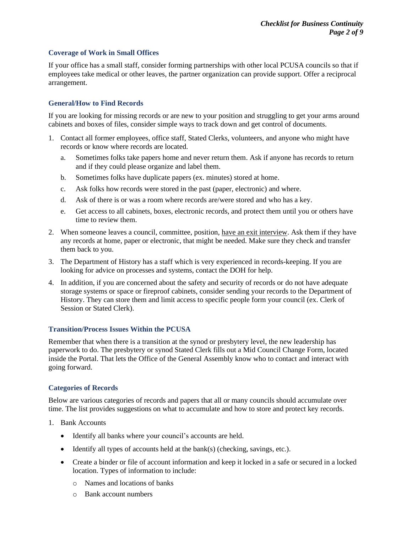#### **Coverage of Work in Small Offices**

If your office has a small staff, consider forming partnerships with other local PCUSA councils so that if employees take medical or other leaves, the partner organization can provide support. Offer a reciprocal arrangement.

#### **General/How to Find Records**

If you are looking for missing records or are new to your position and struggling to get your arms around cabinets and boxes of files, consider simple ways to track down and get control of documents.

- 1. Contact all former employees, office staff, Stated Clerks, volunteers, and anyone who might have records or know where records are located.
	- a. Sometimes folks take papers home and never return them. Ask if anyone has records to return and if they could please organize and label them.
	- b. Sometimes folks have duplicate papers (ex. minutes) stored at home.
	- c. Ask folks how records were stored in the past (paper, electronic) and where.
	- d. Ask of there is or was a room where records are/were stored and who has a key.
	- e. Get access to all cabinets, boxes, electronic records, and protect them until you or others have time to review them.
- 2. When someone leaves a council, committee, position, have an exit interview. Ask them if they have any records at home, paper or electronic, that might be needed. Make sure they check and transfer them back to you.
- 3. The Department of History has a staff which is very experienced in records-keeping. If you are looking for advice on processes and systems, contact the DOH for help.
- 4. In addition, if you are concerned about the safety and security of records or do not have adequate storage systems or space or fireproof cabinets, consider sending your records to the Department of History. They can store them and limit access to specific people form your council (ex. Clerk of Session or Stated Clerk).

#### **Transition/Process Issues Within the PCUSA**

Remember that when there is a transition at the synod or presbytery level, the new leadership has paperwork to do. The presbytery or synod Stated Clerk fills out a Mid Council Change Form, located inside the Portal. That lets the Office of the General Assembly know who to contact and interact with going forward.

#### **Categories of Records**

Below are various categories of records and papers that all or many councils should accumulate over time. The list provides suggestions on what to accumulate and how to store and protect key records.

- 1. Bank Accounts
	- Identify all banks where your council's accounts are held.
	- Identify all types of accounts held at the bank(s) (checking, savings, etc.).
	- Create a binder or file of account information and keep it locked in a safe or secured in a locked location. Types of information to include:
		- o Names and locations of banks
		- o Bank account numbers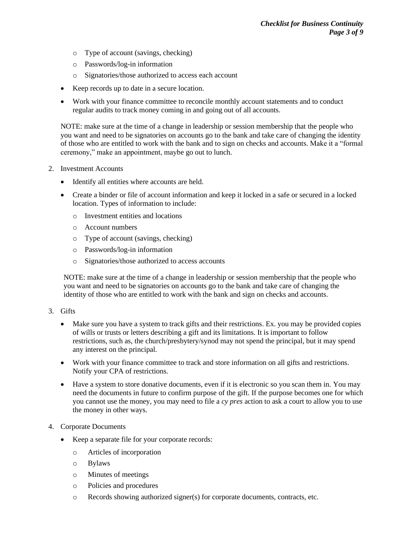- o Type of account (savings, checking)
- o Passwords/log-in information
- o Signatories/those authorized to access each account
- Keep records up to date in a secure location.
- Work with your finance committee to reconcile monthly account statements and to conduct regular audits to track money coming in and going out of all accounts.

NOTE: make sure at the time of a change in leadership or session membership that the people who you want and need to be signatories on accounts go to the bank and take care of changing the identity of those who are entitled to work with the bank and to sign on checks and accounts. Make it a "formal ceremony," make an appointment, maybe go out to lunch.

- 2. Investment Accounts
	- Identify all entities where accounts are held.
	- Create a binder or file of account information and keep it locked in a safe or secured in a locked location. Types of information to include:
		- o Investment entities and locations
		- o Account numbers
		- o Type of account (savings, checking)
		- o Passwords/log-in information
		- o Signatories/those authorized to access accounts

NOTE: make sure at the time of a change in leadership or session membership that the people who you want and need to be signatories on accounts go to the bank and take care of changing the identity of those who are entitled to work with the bank and sign on checks and accounts.

- 3. Gifts
	- Make sure you have a system to track gifts and their restrictions. Ex. you may be provided copies of wills or trusts or letters describing a gift and its limitations. It is important to follow restrictions, such as, the church/presbytery/synod may not spend the principal, but it may spend any interest on the principal.
	- Work with your finance committee to track and store information on all gifts and restrictions. Notify your CPA of restrictions.
	- Have a system to store donative documents, even if it is electronic so you scan them in. You may need the documents in future to confirm purpose of the gift. If the purpose becomes one for which you cannot use the money, you may need to file a *cy pres* action to ask a court to allow you to use the money in other ways.
- 4. Corporate Documents
	- Keep a separate file for your corporate records:
		- o Articles of incorporation
		- o Bylaws
		- o Minutes of meetings
		- o Policies and procedures
		- $\circ$  Records showing authorized signer(s) for corporate documents, contracts, etc.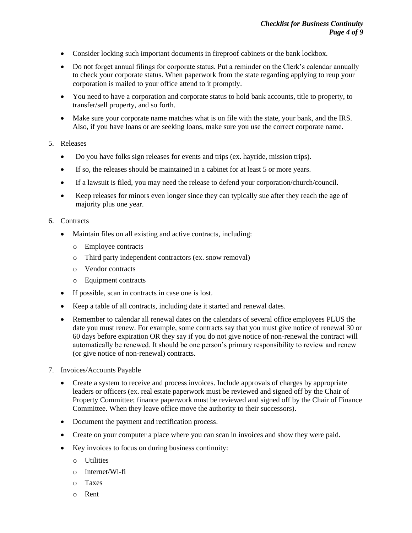- Consider locking such important documents in fireproof cabinets or the bank lockbox.
- Do not forget annual filings for corporate status. Put a reminder on the Clerk's calendar annually to check your corporate status. When paperwork from the state regarding applying to reup your corporation is mailed to your office attend to it promptly.
- You need to have a corporation and corporate status to hold bank accounts, title to property, to transfer/sell property, and so forth.
- Make sure your corporate name matches what is on file with the state, your bank, and the IRS. Also, if you have loans or are seeking loans, make sure you use the correct corporate name.

#### 5. Releases

- Do you have folks sign releases for events and trips (ex. hayride, mission trips).
- If so, the releases should be maintained in a cabinet for at least 5 or more years.
- If a lawsuit is filed, you may need the release to defend your corporation/church/council.
- Keep releases for minors even longer since they can typically sue after they reach the age of majority plus one year.

#### 6. Contracts

- Maintain files on all existing and active contracts, including:
	- o Employee contracts
	- o Third party independent contractors (ex. snow removal)
	- o Vendor contracts
	- o Equipment contracts
- If possible, scan in contracts in case one is lost.
- Keep a table of all contracts, including date it started and renewal dates.
- Remember to calendar all renewal dates on the calendars of several office employees PLUS the date you must renew. For example, some contracts say that you must give notice of renewal 30 or 60 days before expiration OR they say if you do not give notice of non-renewal the contract will automatically be renewed. It should be one person's primary responsibility to review and renew (or give notice of non-renewal) contracts.
- 7. Invoices/Accounts Payable
	- Create a system to receive and process invoices. Include approvals of charges by appropriate leaders or officers (ex. real estate paperwork must be reviewed and signed off by the Chair of Property Committee; finance paperwork must be reviewed and signed off by the Chair of Finance Committee. When they leave office move the authority to their successors).
	- Document the payment and rectification process.
	- Create on your computer a place where you can scan in invoices and show they were paid.
	- Key invoices to focus on during business continuity:
		- o Utilities
		- o Internet/Wi-fi
		- o Taxes
		- o Rent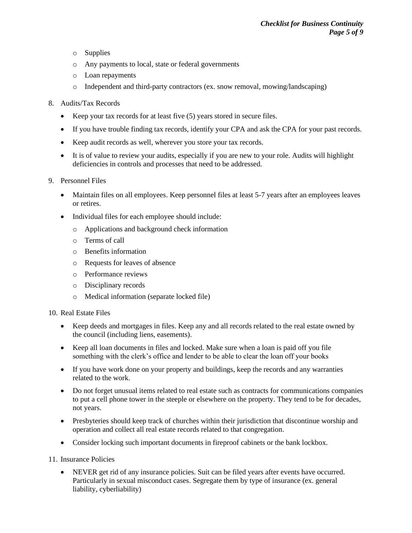- o Supplies
- o Any payments to local, state or federal governments
- o Loan repayments
- $\circ$  Independent and third-party contractors (ex. snow removal, mowing/landscaping)
- 8. Audits/Tax Records
	- Keep your tax records for at least five (5) years stored in secure files.
	- If you have trouble finding tax records, identify your CPA and ask the CPA for your past records.
	- Keep audit records as well, wherever you store your tax records.
	- It is of value to review your audits, especially if you are new to your role. Audits will highlight deficiencies in controls and processes that need to be addressed.
- 9. Personnel Files
	- Maintain files on all employees. Keep personnel files at least 5-7 years after an employees leaves or retires.
	- Individual files for each employee should include:
		- o Applications and background check information
		- o Terms of call
		- o Benefits information
		- o Requests for leaves of absence
		- o Performance reviews
		- o Disciplinary records
		- o Medical information (separate locked file)
- 10. Real Estate Files
	- Keep deeds and mortgages in files. Keep any and all records related to the real estate owned by the council (including liens, easements).
	- Keep all loan documents in files and locked. Make sure when a loan is paid off you file something with the clerk's office and lender to be able to clear the loan off your books
	- If you have work done on your property and buildings, keep the records and any warranties related to the work.
	- Do not forget unusual items related to real estate such as contracts for communications companies to put a cell phone tower in the steeple or elsewhere on the property. They tend to be for decades, not years.
	- Presbyteries should keep track of churches within their jurisdiction that discontinue worship and operation and collect all real estate records related to that congregation.
	- Consider locking such important documents in fireproof cabinets or the bank lockbox.

11. Insurance Policies

• NEVER get rid of any insurance policies. Suit can be filed years after events have occurred. Particularly in sexual misconduct cases. Segregate them by type of insurance (ex. general liability, cyberliability)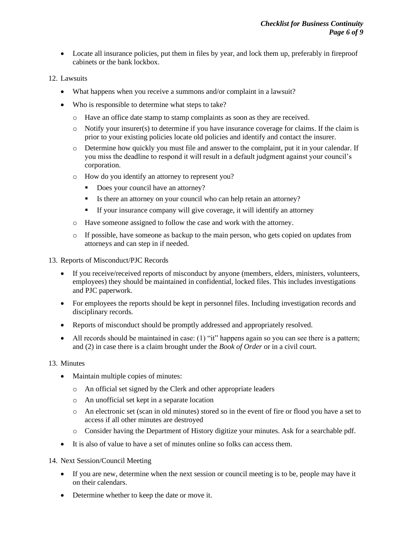- Locate all insurance policies, put them in files by year, and lock them up, preferably in fireproof cabinets or the bank lockbox.
- 12. Lawsuits
	- What happens when you receive a summons and/or complaint in a lawsuit?
	- Who is responsible to determine what steps to take?
		- o Have an office date stamp to stamp complaints as soon as they are received.
		- $\circ$  Notify your insurer(s) to determine if you have insurance coverage for claims. If the claim is prior to your existing policies locate old policies and identify and contact the insurer.
		- o Determine how quickly you must file and answer to the complaint, put it in your calendar. If you miss the deadline to respond it will result in a default judgment against your council's corporation.
		- o How do you identify an attorney to represent you?
			- Does your council have an attorney?
			- Is there an attorney on your council who can help retain an attorney?
			- If your insurance company will give coverage, it will identify an attorney
		- o Have someone assigned to follow the case and work with the attorney.
		- o If possible, have someone as backup to the main person, who gets copied on updates from attorneys and can step in if needed.
- 13. Reports of Misconduct/PJC Records
	- If you receive/received reports of misconduct by anyone (members, elders, ministers, volunteers, employees) they should be maintained in confidential, locked files. This includes investigations and PJC paperwork.
	- For employees the reports should be kept in personnel files. Including investigation records and disciplinary records.
	- Reports of misconduct should be promptly addressed and appropriately resolved.
	- All records should be maintained in case: (1) "it" happens again so you can see there is a pattern; and (2) in case there is a claim brought under the *Book of Order* or in a civil court.

#### 13. Minutes

- Maintain multiple copies of minutes:
	- o An official set signed by the Clerk and other appropriate leaders
	- o An unofficial set kept in a separate location
	- o An electronic set (scan in old minutes) stored so in the event of fire or flood you have a set to access if all other minutes are destroyed
	- o Consider having the Department of History digitize your minutes. Ask for a searchable pdf.
- It is also of value to have a set of minutes online so folks can access them.
- 14. Next Session/Council Meeting
	- If you are new, determine when the next session or council meeting is to be, people may have it on their calendars.
	- Determine whether to keep the date or move it.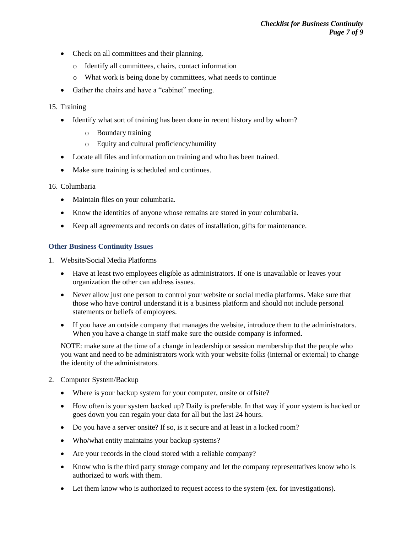- Check on all committees and their planning.
	- o Identify all committees, chairs, contact information
	- o What work is being done by committees, what needs to continue
- Gather the chairs and have a "cabinet" meeting.

### 15. Training

- Identify what sort of training has been done in recent history and by whom?
	- o Boundary training
	- o Equity and cultural proficiency/humility
- Locate all files and information on training and who has been trained.
- Make sure training is scheduled and continues.

#### 16. Columbaria

- Maintain files on your columbaria.
- Know the identities of anyone whose remains are stored in your columbaria.
- Keep all agreements and records on dates of installation, gifts for maintenance.

### **Other Business Continuity Issues**

- 1. Website/Social Media Platforms
	- Have at least two employees eligible as administrators. If one is unavailable or leaves your organization the other can address issues.
	- Never allow just one person to control your website or social media platforms. Make sure that those who have control understand it is a business platform and should not include personal statements or beliefs of employees.
	- If you have an outside company that manages the website, introduce them to the administrators. When you have a change in staff make sure the outside company is informed.

NOTE: make sure at the time of a change in leadership or session membership that the people who you want and need to be administrators work with your website folks (internal or external) to change the identity of the administrators.

- 2. Computer System/Backup
	- Where is your backup system for your computer, onsite or offsite?
	- How often is your system backed up? Daily is preferable. In that way if your system is hacked or goes down you can regain your data for all but the last 24 hours.
	- Do you have a server onsite? If so, is it secure and at least in a locked room?
	- Who/what entity maintains your backup systems?
	- Are your records in the cloud stored with a reliable company?
	- Know who is the third party storage company and let the company representatives know who is authorized to work with them.
	- Let them know who is authorized to request access to the system (ex. for investigations).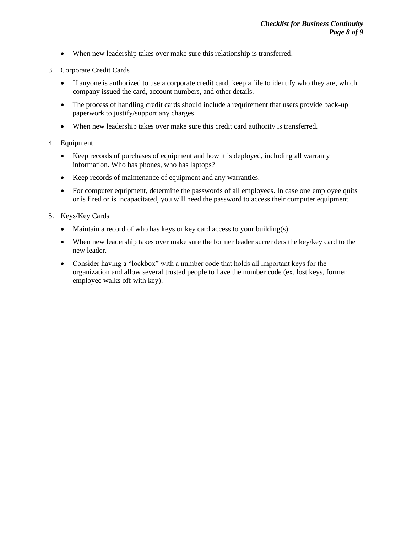- When new leadership takes over make sure this relationship is transferred.
- 3. Corporate Credit Cards
	- If anyone is authorized to use a corporate credit card, keep a file to identify who they are, which company issued the card, account numbers, and other details.
	- The process of handling credit cards should include a requirement that users provide back-up paperwork to justify/support any charges.
	- When new leadership takes over make sure this credit card authority is transferred.

## 4. Equipment

- Keep records of purchases of equipment and how it is deployed, including all warranty information. Who has phones, who has laptops?
- Keep records of maintenance of equipment and any warranties.
- For computer equipment, determine the passwords of all employees. In case one employee quits or is fired or is incapacitated, you will need the password to access their computer equipment.
- 5. Keys/Key Cards
	- Maintain a record of who has keys or key card access to your building(s).
	- When new leadership takes over make sure the former leader surrenders the key/key card to the new leader.
	- Consider having a "lockbox" with a number code that holds all important keys for the organization and allow several trusted people to have the number code (ex. lost keys, former employee walks off with key).